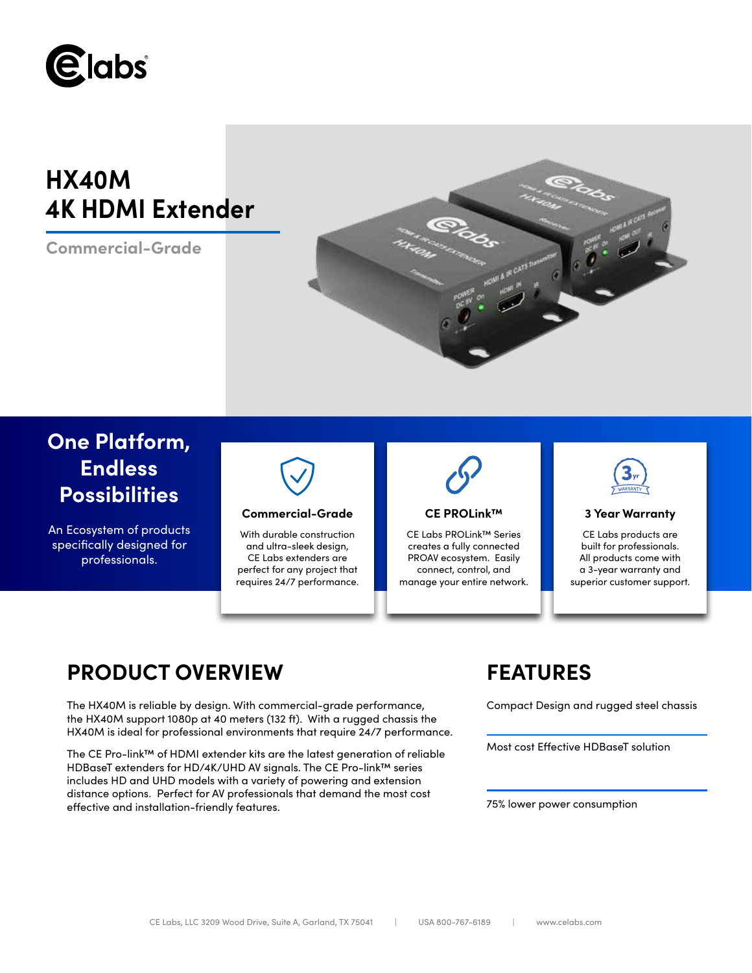

# **HX40M 4K HDMI Extender**

**Commercial-Grade**



## **One Platform, Endless Possibilities**

An Ecosystem of products specifically designed for professionals.



### **Commercial-Grade 3 Year Warranty**

With durable construction and ultra-sleek design, CE Labs extenders are perfect for any project that requires 24/7 performance.



### **CE PROLink™**

CE Labs PROLink™ Series creates a fully connected PROAV ecosystem. Easily connect, control, and manage your entire network.



CE Labs products are built for professionals. All products come with a 3-year warranty and superior customer support.

## **PRODUCT OVERVIEW FEATURES**

The HX40M is reliable by design. With commercial-grade performance, the HX40M support 1080p at 40 meters (132 ft). With a rugged chassis the HX40M is ideal for professional environments that require 24/7 performance.

The CE Pro-link™ of HDMI extender kits are the latest generation of reliable HDBaseT extenders for HD/4K/UHD AV signals. The CE Pro-link™ series includes HD and UHD models with a variety of powering and extension distance options. Perfect for AV professionals that demand the most cost effective and installation-friendly features.

Compact Design and rugged steel chassis

Most cost Effective HDBaseT solution

75% lower power consumption